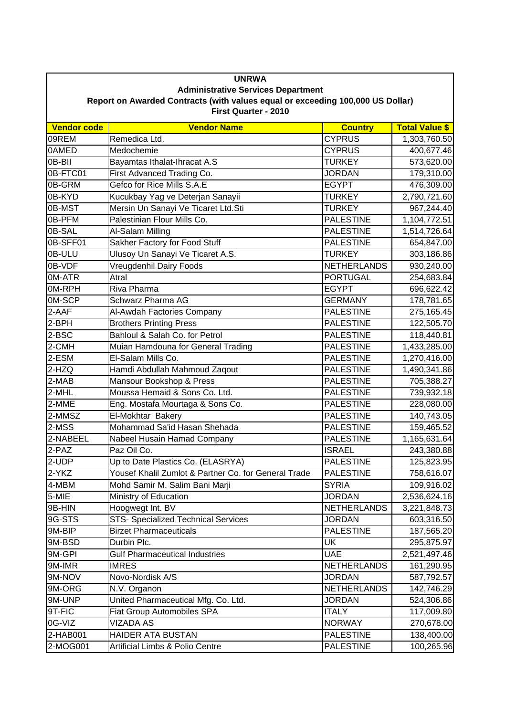| <b>UNRWA</b><br><b>Administrative Services Department</b> |                                                      |                    |                       |  |  |
|-----------------------------------------------------------|------------------------------------------------------|--------------------|-----------------------|--|--|
|                                                           |                                                      |                    |                       |  |  |
| First Quarter - 2010                                      |                                                      |                    |                       |  |  |
| <b>Vendor code</b>                                        | <b>Vendor Name</b>                                   | <b>Country</b>     | <b>Total Value \$</b> |  |  |
| 09REM                                                     | Remedica Ltd.                                        | <b>CYPRUS</b>      | 1,303,760.50          |  |  |
| 0AMED                                                     | Medochemie                                           | <b>CYPRUS</b>      | 400,677.46            |  |  |
| 0B-BII                                                    | Bayamtas Ithalat-Ihracat A.S                         | <b>TURKEY</b>      | 573,620.00            |  |  |
| 0B-FTC01                                                  | First Advanced Trading Co.                           | <b>JORDAN</b>      | 179,310.00            |  |  |
| 0B-GRM                                                    | Gefco for Rice Mills S.A.E                           | <b>EGYPT</b>       | 476,309.00            |  |  |
| 0B-KYD                                                    | Kucukbay Yag ve Deterjan Sanayii                     | <b>TURKEY</b>      | 2,790,721.60          |  |  |
| 0B-MST                                                    | Mersin Un Sanayi Ve Ticaret Ltd.Sti                  | <b>TURKEY</b>      | 967,244.40            |  |  |
| 0B-PFM                                                    | Palestinian Flour Mills Co.                          | <b>PALESTINE</b>   | 1,104,772.51          |  |  |
| 0B-SAL                                                    | Al-Salam Milling                                     | <b>PALESTINE</b>   | 1,514,726.64          |  |  |
| 0B-SFF01                                                  | Sakher Factory for Food Stuff                        | <b>PALESTINE</b>   | 654,847.00            |  |  |
| 0B-ULU                                                    | Ulusoy Un Sanayi Ve Ticaret A.S.                     | <b>TURKEY</b>      | 303,186.86            |  |  |
| 0B-VDF                                                    | Vreugdenhil Dairy Foods                              | <b>NETHERLANDS</b> | 930,240.00            |  |  |
| 0M-ATR                                                    | Atral                                                | <b>PORTUGAL</b>    | 254,683.84            |  |  |
| 0M-RPH                                                    | Riva Pharma                                          | <b>EGYPT</b>       | 696,622.42            |  |  |
| 0M-SCP                                                    | Schwarz Pharma AG                                    | <b>GERMANY</b>     | 178,781.65            |  |  |
| 2-AAF                                                     | Al-Awdah Factories Company                           | <b>PALESTINE</b>   | 275,165.45            |  |  |
| 2-BPH                                                     | <b>Brothers Printing Press</b>                       | <b>PALESTINE</b>   | 122,505.70            |  |  |
| 2-BSC                                                     | Bahloul & Salah Co. for Petrol                       | <b>PALESTINE</b>   | 118,440.81            |  |  |
| 2-CMH                                                     | Muian Hamdouna for General Trading                   | <b>PALESTINE</b>   | 1,433,285.00          |  |  |
| 2-ESM                                                     | El-Salam Mills Co.                                   | <b>PALESTINE</b>   | 1,270,416.00          |  |  |
| 2-HZQ                                                     | Hamdi Abdullah Mahmoud Zaqout                        | <b>PALESTINE</b>   | 1,490,341.86          |  |  |
| 2-MAB                                                     | Mansour Bookshop & Press                             | <b>PALESTINE</b>   | 705,388.27            |  |  |
| 2-MHL                                                     | Moussa Hemaid & Sons Co. Ltd.                        | <b>PALESTINE</b>   | 739,932.18            |  |  |
| 2-MME                                                     | Eng. Mostafa Mourtaga & Sons Co.                     | <b>PALESTINE</b>   | 228,080.00            |  |  |
| 2-MMSZ                                                    | El-Mokhtar Bakery                                    | <b>PALESTINE</b>   | 140,743.05            |  |  |
| 2-MSS                                                     | Mohammad Sa'id Hasan Shehada                         | <b>PALESTINE</b>   | 159,465.52            |  |  |
| 2-NABEEL                                                  | Nabeel Husain Hamad Company                          | <b>PALESTINE</b>   | 1,165,631.64          |  |  |
| 2-PAZ                                                     | Paz Oil Co.                                          | <b>ISRAEL</b>      | 243,380.88            |  |  |
| 2-UDP                                                     | Up to Date Plastics Co. (ELASRYA)                    | <b>PALESTINE</b>   | 125,823.95            |  |  |
| 2-YKZ                                                     | Yousef Khalil Zumlot & Partner Co. for General Trade | <b>PALESTINE</b>   | 758,616.07            |  |  |
| 4-MBM                                                     | Mohd Samir M. Salim Bani Marji                       | <b>SYRIA</b>       | 109,916.02            |  |  |
| 5-MIE                                                     | Ministry of Education                                | <b>JORDAN</b>      | 2,536,624.16          |  |  |
| 9B-HIN                                                    | Hoogwegt Int. BV                                     | <b>NETHERLANDS</b> | 3,221,848.73          |  |  |
| 9G-STS                                                    | STS- Specialized Technical Services                  | <b>JORDAN</b>      | 603,316.50            |  |  |
| 9M-BIP                                                    | <b>Birzet Pharmaceuticals</b>                        | <b>PALESTINE</b>   | 187,565.20            |  |  |
| 9M-BSD                                                    | Durbin Plc.                                          | UK                 | 295,875.97            |  |  |
| 9M-GPI                                                    | <b>Gulf Pharmaceutical Industries</b>                | <b>UAE</b>         | 2,521,497.46          |  |  |
| 9M-IMR                                                    | <b>IMRES</b>                                         | <b>NETHERLANDS</b> | 161,290.95            |  |  |
| 9M-NOV                                                    | Novo-Nordisk A/S                                     | <b>JORDAN</b>      | 587,792.57            |  |  |
| 9M-ORG                                                    | N.V. Organon                                         | <b>NETHERLANDS</b> | 142,746.29            |  |  |
| 9M-UNP                                                    | United Pharmaceutical Mfg. Co. Ltd.                  | <b>JORDAN</b>      | 524,306.86            |  |  |
| 9T-FIC                                                    | Fiat Group Automobiles SPA                           | <b>ITALY</b>       | 117,009.80            |  |  |
| 0G-VIZ                                                    | VIZADA AS                                            | <b>NORWAY</b>      | 270,678.00            |  |  |
| 2-HAB001                                                  | <b>HAIDER ATA BUSTAN</b>                             | <b>PALESTINE</b>   | 138,400.00            |  |  |
| 2-MOG001                                                  | Artificial Limbs & Polio Centre                      | <b>PALESTINE</b>   | 100,265.96            |  |  |